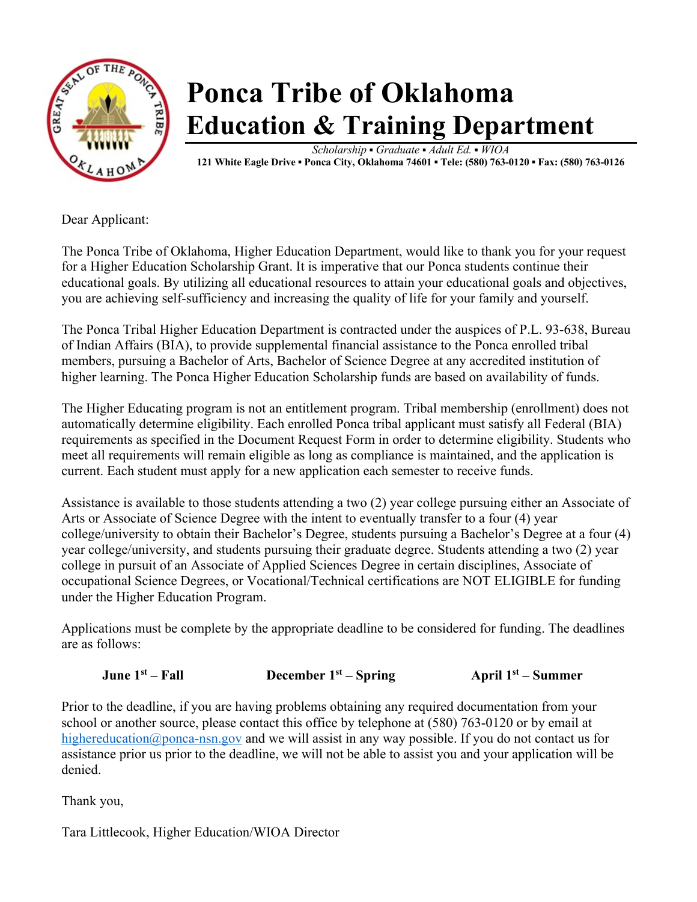

# **Ponca Tribe of Oklahoma Education & Training Department**

*Scholarship* **▪** *Graduate* **▪** *Adult Ed.* **▪** *WIOA*  **121 White Eagle Drive ▪ Ponca City, Oklahoma 74601 ▪ Tele: (580) 763-0120 ▪ Fax: (580) 763-0126**

Dear Applicant:

The Ponca Tribe of Oklahoma, Higher Education Department, would like to thank you for your request for a Higher Education Scholarship Grant. It is imperative that our Ponca students continue their educational goals. By utilizing all educational resources to attain your educational goals and objectives, you are achieving self-sufficiency and increasing the quality of life for your family and yourself.

The Ponca Tribal Higher Education Department is contracted under the auspices of P.L. 93-638, Bureau of Indian Affairs (BIA), to provide supplemental financial assistance to the Ponca enrolled tribal members, pursuing a Bachelor of Arts, Bachelor of Science Degree at any accredited institution of higher learning. The Ponca Higher Education Scholarship funds are based on availability of funds.

The Higher Educating program is not an entitlement program. Tribal membership (enrollment) does not automatically determine eligibility. Each enrolled Ponca tribal applicant must satisfy all Federal (BIA) requirements as specified in the Document Request Form in order to determine eligibility. Students who meet all requirements will remain eligible as long as compliance is maintained, and the application is current. Each student must apply for a new application each semester to receive funds.

Assistance is available to those students attending a two (2) year college pursuing either an Associate of Arts or Associate of Science Degree with the intent to eventually transfer to a four (4) year college/university to obtain their Bachelor's Degree, students pursuing a Bachelor's Degree at a four (4) year college/university, and students pursuing their graduate degree. Students attending a two (2) year college in pursuit of an Associate of Applied Sciences Degree in certain disciplines, Associate of occupational Science Degrees, or Vocational/Technical certifications are NOT ELIGIBLE for funding under the Higher Education Program.

Applications must be complete by the appropriate deadline to be considered for funding. The deadlines are as follows:

**June 1st – Fall December 1st – Spring April 1st – Summer**

Prior to the deadline, if you are having problems obtaining any required documentation from your school or another source, please contact this office by telephone at (580) 763-0120 or by email at highereducation@ponca-nsn.gov and we will assist in any way possible. If you do not contact us for assistance prior us prior to the deadline, we will not be able to assist you and your application will be denied.

Thank you,

Tara Littlecook, Higher Education/WIOA Director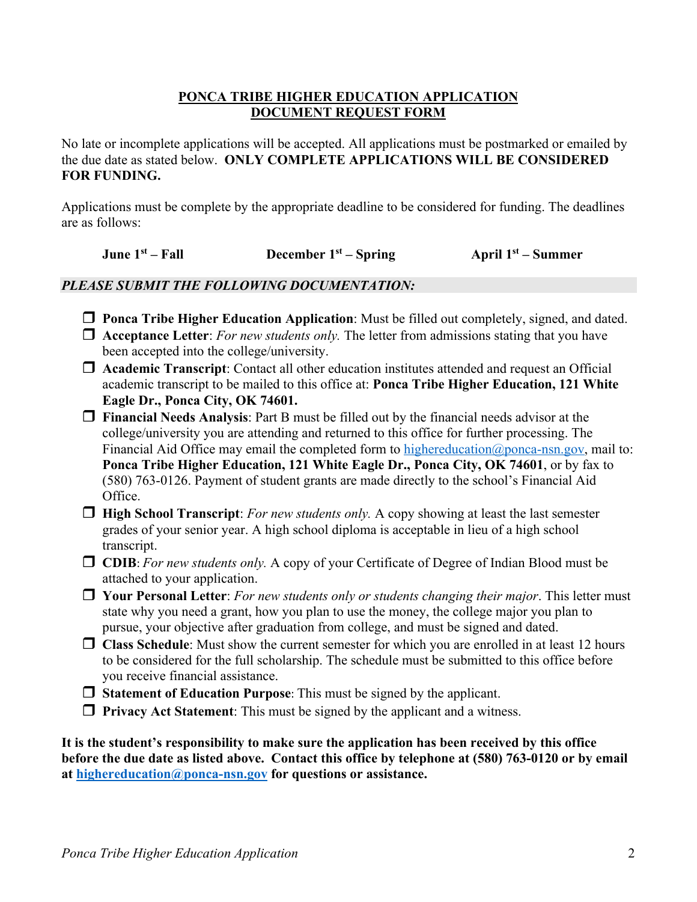### **PONCA TRIBE HIGHER EDUCATION APPLICATION DOCUMENT REQUEST FORM**

No late or incomplete applications will be accepted. All applications must be postmarked or emailed by the due date as stated below. **ONLY COMPLETE APPLICATIONS WILL BE CONSIDERED FOR FUNDING.**

Applications must be complete by the appropriate deadline to be considered for funding. The deadlines are as follows:

**June 1st – Fall December 1st – Spring April 1st – Summer** 

### *PLEASE SUBMIT THE FOLLOWING DOCUMENTATION:*

- **T** Ponca Tribe Higher Education Application: Must be filled out completely, signed, and dated.
- $\Box$  **Acceptance Letter**: *For new students only*. The letter from admissions stating that you have been accepted into the college/university.
- **T** Academic Transcript: Contact all other education institutes attended and request an Official academic transcript to be mailed to this office at: **Ponca Tribe Higher Education, 121 White Eagle Dr., Ponca City, OK 74601.**
- **T** Financial Needs Analysis: Part B must be filled out by the financial needs advisor at the college/university you are attending and returned to this office for further processing. The Financial Aid Office may email the completed form to highereducation@ponca-nsn.gov, mail to: **Ponca Tribe Higher Education, 121 White Eagle Dr., Ponca City, OK 74601**, or by fax to (580) 763-0126. Payment of student grants are made directly to the school's Financial Aid Office.
- **High School Transcript**: *For new students only.* A copy showing at least the last semester grades of your senior year. A high school diploma is acceptable in lieu of a high school transcript.
- r **CDIB**: *For new students only.* A copy of your Certificate of Degree of Indian Blood must be attached to your application.
- r **Your Personal Letter**: *For new students only or students changing their major*. This letter must state why you need a grant, how you plan to use the money, the college major you plan to pursue, your objective after graduation from college, and must be signed and dated.
- **T** Class Schedule: Must show the current semester for which you are enrolled in at least 12 hours to be considered for the full scholarship. The schedule must be submitted to this office before you receive financial assistance.
- **T** Statement of Education Purpose: This must be signed by the applicant.
- **Privacy Act Statement:** This must be signed by the applicant and a witness.

**It is the student's responsibility to make sure the application has been received by this office before the due date as listed above. Contact this office by telephone at (580) 763-0120 or by email at highereducation@ponca-nsn.gov for questions or assistance.**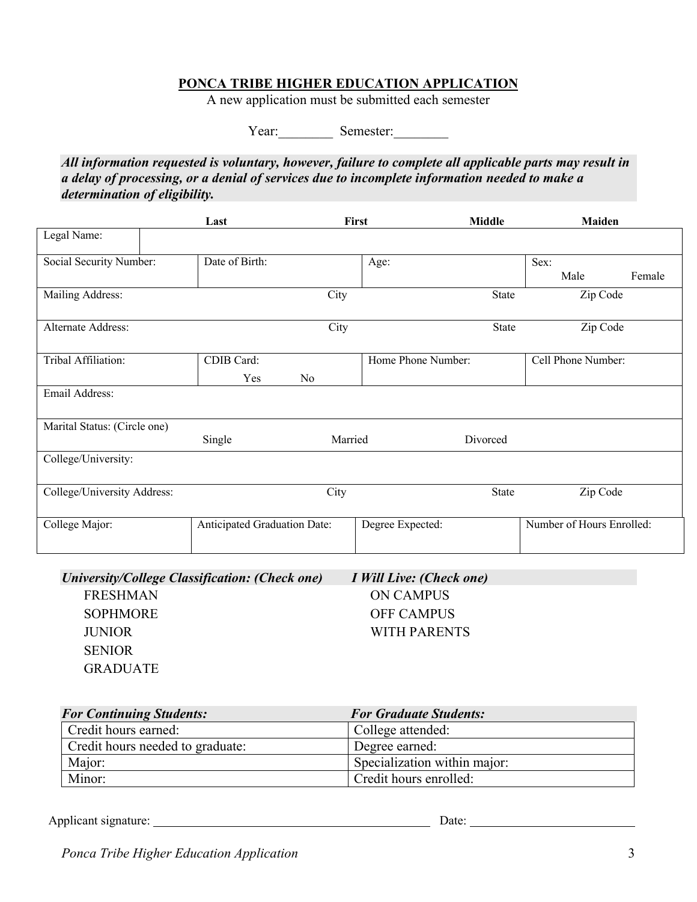### **PONCA TRIBE HIGHER EDUCATION APPLICATION**

A new application must be submitted each semester

Year: Semester:

*All information requested is voluntary, however, failure to complete all applicable parts may result in a delay of processing, or a denial of services due to incomplete information needed to make a determination of eligibility.*

|                              | Last                         | First   |                    | <b>Middle</b> | Maiden                    |        |
|------------------------------|------------------------------|---------|--------------------|---------------|---------------------------|--------|
| Legal Name:                  |                              |         |                    |               |                           |        |
| Social Security Number:      | Date of Birth:               |         | Age:               |               | Sex:                      |        |
|                              |                              |         |                    |               | Male                      | Female |
| Mailing Address:             |                              | City    |                    | <b>State</b>  | Zip Code                  |        |
| Alternate Address:           |                              | City    |                    | State         | Zip Code                  |        |
| Tribal Affiliation:          | CDIB Card:                   |         | Home Phone Number: |               | Cell Phone Number:        |        |
|                              | Yes                          | No      |                    |               |                           |        |
| Email Address:               |                              |         |                    |               |                           |        |
| Marital Status: (Circle one) |                              |         |                    |               |                           |        |
|                              | Single                       | Married |                    | Divorced      |                           |        |
| College/University:          |                              |         |                    |               |                           |        |
| College/University Address:  |                              | City    |                    | <b>State</b>  | Zip Code                  |        |
| College Major:               | Anticipated Graduation Date: |         | Degree Expected:   |               | Number of Hours Enrolled: |        |

| University/College Classification: (Check one) | I Will Live: (Check one) |
|------------------------------------------------|--------------------------|
| <b>FRESHMAN</b>                                | ON CAMPUS                |
| <b>SOPHMORE</b>                                | <b>OFF CAMPUS</b>        |
| <b>JUNIOR</b>                                  | WITH PARENTS             |
| <b>SENIOR</b>                                  |                          |
| <b>GRADUATE</b>                                |                          |
|                                                |                          |

| <b>For Continuing Students:</b>  | <b>For Graduate Students:</b> |  |  |
|----------------------------------|-------------------------------|--|--|
| Credit hours earned:             | College attended:             |  |  |
| Credit hours needed to graduate: | Degree earned:                |  |  |
| Major:                           | Specialization within major:  |  |  |
| Minor:                           | Credit hours enrolled:        |  |  |

Applicant signature: Date: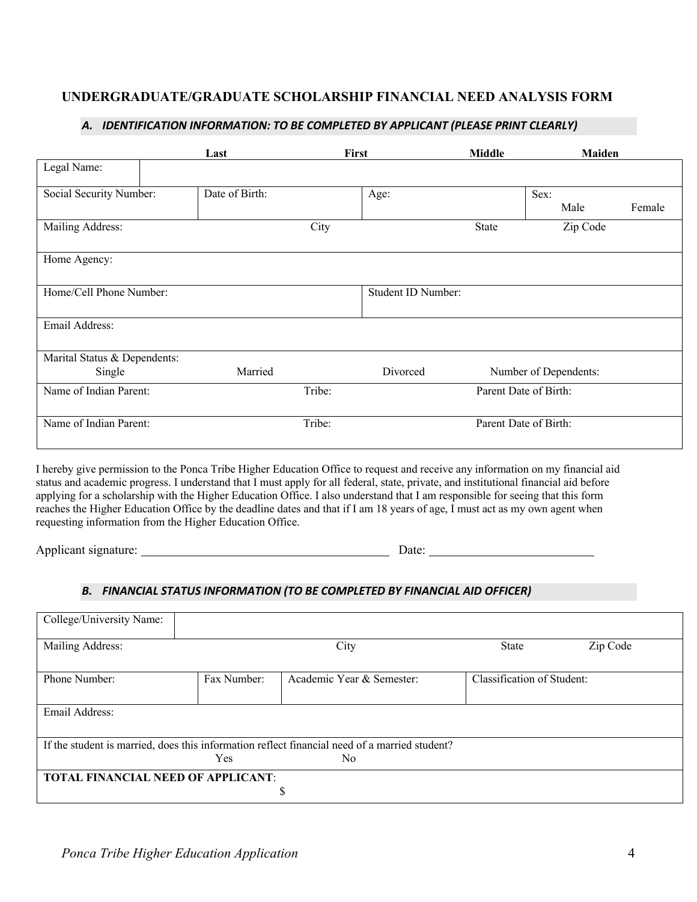### **UNDERGRADUATE/GRADUATE SCHOLARSHIP FINANCIAL NEED ANALYSIS FORM**

|                                                                                                                                | Last           | First  |                    | <b>Middle</b>         | <b>Maiden</b>         |        |
|--------------------------------------------------------------------------------------------------------------------------------|----------------|--------|--------------------|-----------------------|-----------------------|--------|
| Legal Name:                                                                                                                    |                |        |                    |                       |                       |        |
| Social Security Number:                                                                                                        | Date of Birth: |        | Age:               |                       | Sex:                  |        |
|                                                                                                                                |                |        |                    |                       | Male                  | Female |
| Mailing Address:                                                                                                               |                | City   |                    | State                 | Zip Code              |        |
| Home Agency:                                                                                                                   |                |        |                    |                       |                       |        |
| Home/Cell Phone Number:                                                                                                        |                |        | Student ID Number: |                       |                       |        |
| Email Address:                                                                                                                 |                |        |                    |                       |                       |        |
| Marital Status & Dependents:                                                                                                   |                |        |                    |                       |                       |        |
| Single                                                                                                                         | Married        |        | Divorced           |                       | Number of Dependents: |        |
| Name of Indian Parent:                                                                                                         |                | Tribe: |                    | Parent Date of Birth: |                       |        |
| Name of Indian Parent:                                                                                                         |                | Tribe: |                    | Parent Date of Birth: |                       |        |
| I hereby give permission to the Ponca Tribe Higher Education Office to request and receive any information on my financial aid |                |        |                    |                       |                       |        |

#### *A. IDENTIFICATION INFORMATION: TO BE COMPLETED BY APPLICANT (PLEASE PRINT CLEARLY)*

status and academic progress. I understand that I must apply for all federal, state, private, and institutional financial aid before applying for a scholarship with the Higher Education Office. I also understand that I am responsible for seeing that this form reaches the Higher Education Office by the deadline dates and that if I am 18 years of age, I must act as my own agent when requesting information from the Higher Education Office.

Applicant signature: Date: Date: Date: Date: Date: Date: Date: Date: Date: Date: Date: Date: Date: Date: Date: Date: Date: Date: Date: Date: Date: Date: Date: Date: Date: Date: Date: Date: Date: Date: Date: Date: Date: Dat

#### *B. FINANCIAL STATUS INFORMATION (TO BE COMPLETED BY FINANCIAL AID OFFICER)*

| College/University Name:           |             |                                                                                               |                            |          |
|------------------------------------|-------------|-----------------------------------------------------------------------------------------------|----------------------------|----------|
| Mailing Address:                   |             | City                                                                                          | State                      | Zip Code |
| Phone Number:                      | Fax Number: | Academic Year & Semester:                                                                     | Classification of Student: |          |
| Email Address:                     |             |                                                                                               |                            |          |
|                                    |             | If the student is married, does this information reflect financial need of a married student? |                            |          |
|                                    | Yes         | N <sub>0</sub>                                                                                |                            |          |
| TOTAL FINANCIAL NEED OF APPLICANT: |             |                                                                                               |                            |          |
|                                    |             | S                                                                                             |                            |          |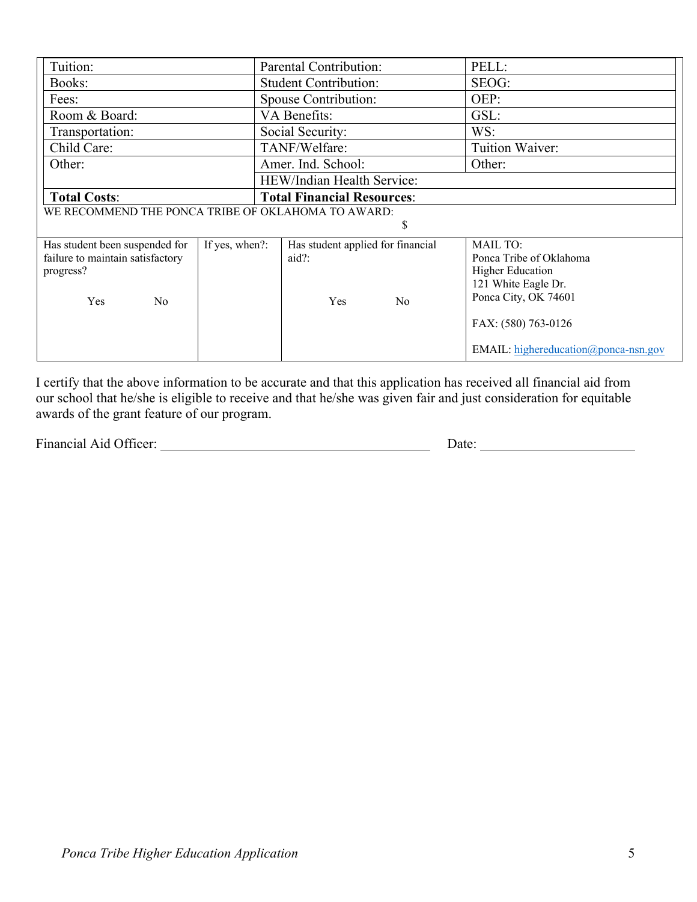| Tuition:                         |                                                    | <b>Parental Contribution:</b>     |                | PELL:                                                    |  |  |
|----------------------------------|----------------------------------------------------|-----------------------------------|----------------|----------------------------------------------------------|--|--|
| Books:                           |                                                    | <b>Student Contribution:</b>      |                | SEOG:                                                    |  |  |
| Fees:                            |                                                    | Spouse Contribution:              |                | OEP:                                                     |  |  |
| Room & Board:                    |                                                    | VA Benefits:                      |                | GSL:                                                     |  |  |
| Transportation:                  |                                                    | Social Security:                  |                | WS:                                                      |  |  |
| Child Care:                      |                                                    | TANF/Welfare:                     |                | Tuition Waiver:                                          |  |  |
| Other:                           |                                                    | Amer. Ind. School:                |                | Other:                                                   |  |  |
|                                  |                                                    | HEW/Indian Health Service:        |                |                                                          |  |  |
| <b>Total Costs:</b>              |                                                    | <b>Total Financial Resources:</b> |                |                                                          |  |  |
|                                  | WE RECOMMEND THE PONCA TRIBE OF OKLAHOMA TO AWARD: |                                   |                |                                                          |  |  |
|                                  | \$                                                 |                                   |                |                                                          |  |  |
| Has student been suspended for   | If yes, when?:                                     | Has student applied for financial |                | <b>MAIL TO:</b>                                          |  |  |
| failure to maintain satisfactory |                                                    | $aid?$ :                          |                | Ponca Tribe of Oklahoma                                  |  |  |
| progress?                        |                                                    |                                   |                | <b>Higher Education</b>                                  |  |  |
|                                  |                                                    |                                   |                | 121 White Eagle Dr.                                      |  |  |
| Yes<br>No                        |                                                    | Yes                               | N <sub>o</sub> | Ponca City, OK 74601                                     |  |  |
|                                  |                                                    |                                   |                | FAX: (580) 763-0126                                      |  |  |
|                                  |                                                    |                                   |                | <b>EMAIL:</b> highereducation ( $\omega$ ) ponca-nsn.gov |  |  |

I certify that the above information to be accurate and that this application has received all financial aid from our school that he/she is eligible to receive and that he/she was given fair and just consideration for equitable awards of the grant feature of our program.

Financial Aid Officer: Date: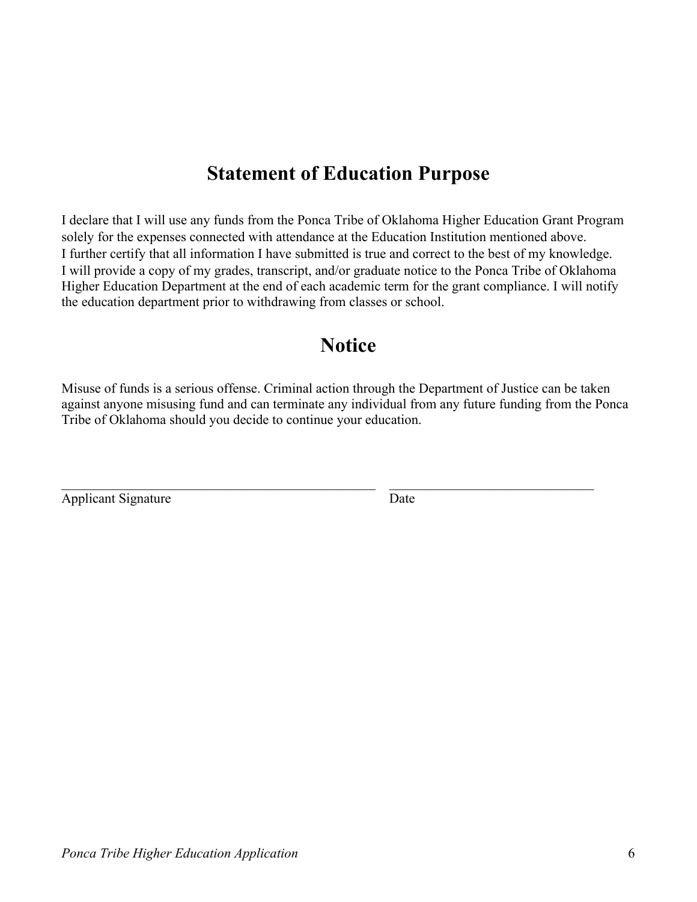# **Statement of Education Purpose**

I declare that I will use any funds from the Ponca Tribe of Oklahoma Higher Education Grant Program solely for the expenses connected with attendance at the Education Institution mentioned above. I further certify that all information I have submitted is true and correct to the best of my knowledge. I will provide a copy of my grades, transcript, and/or graduate notice to the Ponca Tribe of Oklahoma Higher Education Department at the end of each academic term for the grant compliance. I will notify the education department prior to withdrawing from classes or school.

## **Notice**

Misuse of funds is a serious offense. Criminal action through the Department of Justice can be taken against anyone misusing fund and can terminate any individual from any future funding from the Ponca Tribe of Oklahoma should you decide to continue your education.

Applicant Signature Date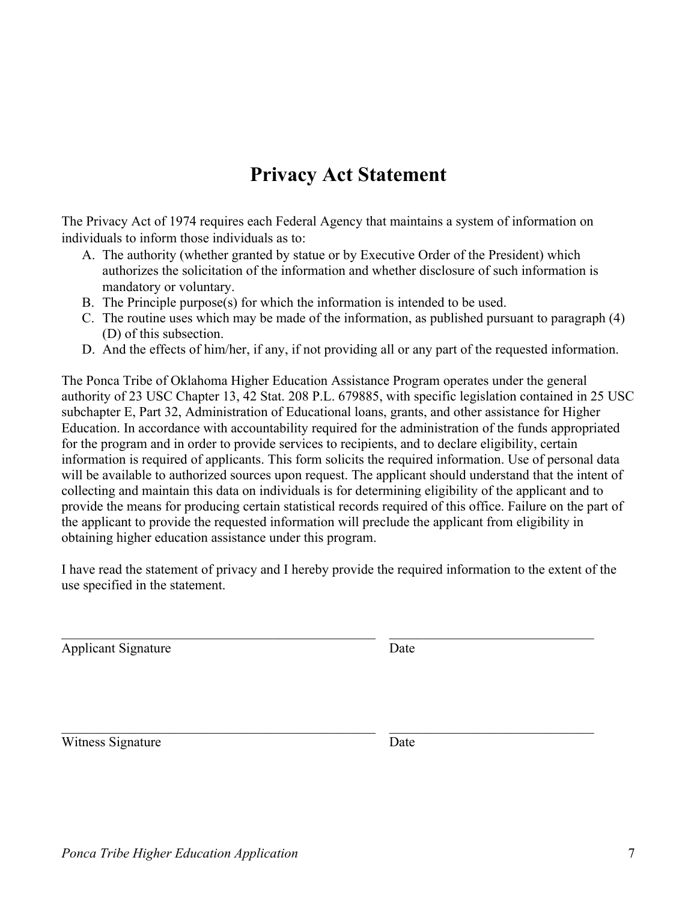# **Privacy Act Statement**

The Privacy Act of 1974 requires each Federal Agency that maintains a system of information on individuals to inform those individuals as to:

- A. The authority (whether granted by statue or by Executive Order of the President) which authorizes the solicitation of the information and whether disclosure of such information is mandatory or voluntary.
- B. The Principle purpose(s) for which the information is intended to be used.
- C. The routine uses which may be made of the information, as published pursuant to paragraph (4) (D) of this subsection.
- D. And the effects of him/her, if any, if not providing all or any part of the requested information.

The Ponca Tribe of Oklahoma Higher Education Assistance Program operates under the general authority of 23 USC Chapter 13, 42 Stat. 208 P.L. 679885, with specific legislation contained in 25 USC subchapter E, Part 32, Administration of Educational loans, grants, and other assistance for Higher Education. In accordance with accountability required for the administration of the funds appropriated for the program and in order to provide services to recipients, and to declare eligibility, certain information is required of applicants. This form solicits the required information. Use of personal data will be available to authorized sources upon request. The applicant should understand that the intent of collecting and maintain this data on individuals is for determining eligibility of the applicant and to provide the means for producing certain statistical records required of this office. Failure on the part of the applicant to provide the requested information will preclude the applicant from eligibility in obtaining higher education assistance under this program.

I have read the statement of privacy and I hereby provide the required information to the extent of the use specified in the statement.

Applicant Signature Date

Witness Signature Date